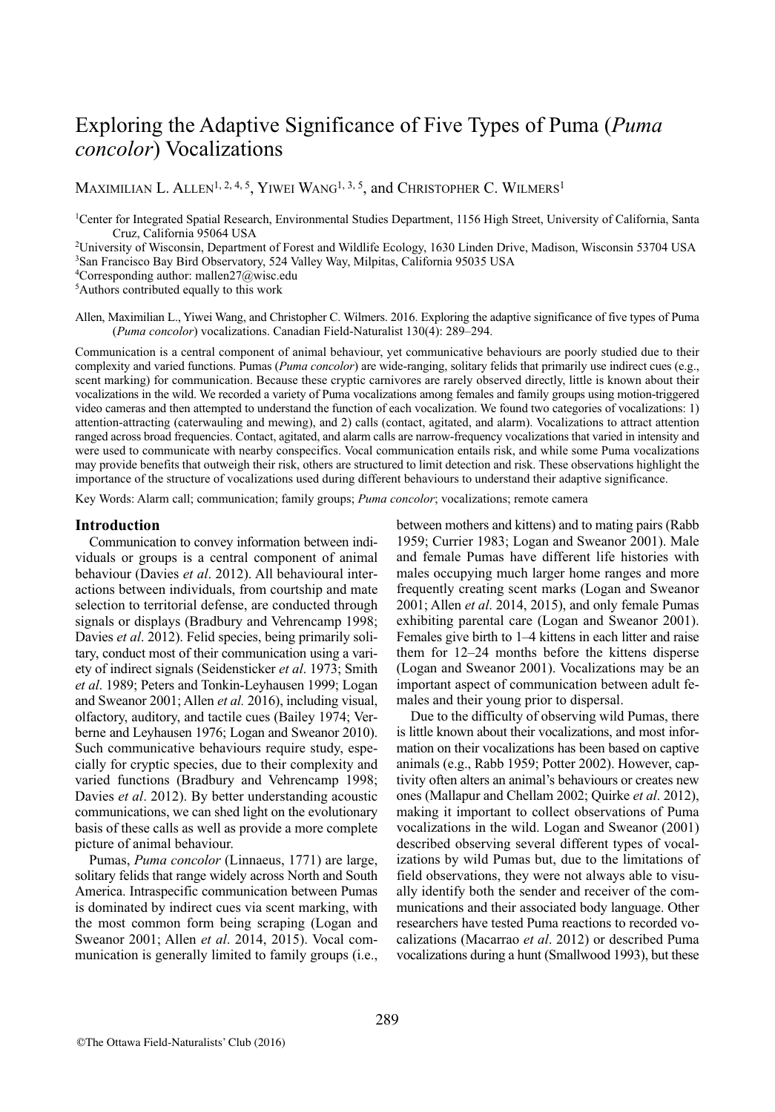# Exploring the Adaptive Significance of Five Types of Puma (*Puma concolor*) Vocalizations

MAXIMILIAN L. ALLEN<sup>1, 2, 4, 5</sup>, YIWEI WANG<sup>1, 3, 5</sup>, and CHRISTOPHER C. WILMERS<sup>1</sup>

<sup>1</sup>Center for Integrated Spatial Research, Environmental Studies Department, 1156 High Street, University of California, Santa Cruz, California 95064 USA

2University of Wisconsin, Department of Forest and Wildlife Ecology, 1630 Linden Drive, Madison, Wisconsin 53704 USA 3San Francisco Bay Bird Observatory, 524 Valley Way, Milpitas, California 95035 USA

4Corresponding author: mallen27@wisc.edu

5Authors contributed equally to this work

Allen, Maximilian L., Yiwei Wang, and Christopher C. Wilmers. 2016. Exploring the adaptive significance of five types of Puma (*Puma concolor*) vocalizations. Canadian Field-Naturalist 130(4): 289–294.

Communication is a central component of animal behaviour, yet communicative behaviours are poorly studied due to their complexity and varied functions. Pumas (*Puma concolor*) are wide-ranging, solitary felids that primarily use indirect cues (e.g., scent marking) for communication. Because these cryptic carnivores are rarely observed directly, little is known about their vocalizations in the wild. We recorded a variety of Puma vocalizations among females and family groups using motion-triggered video cameras and then attempted to understand the function of each vocalization. We found two categories of vocalizations: 1) attention-attracting (caterwauling and mewing), and 2) calls (contact, agitated, and alarm). Vocalizations to attract attention ranged across broad frequencies. Contact, agitated, and alarm calls are narrow-frequency vocalizations that varied in intensity and were used to communicate with nearby conspecifics. Vocal communication entails risk, and while some Puma vocalizations may provide benefits that outweigh their risk, others are structured to limit detection and risk. These observations highlight the importance of the structure of vocalizations used during different behaviours to understand their adaptive significance.

Key Words: Alarm call; communication; family groups; *Puma concolor*; vocalizations; remote camera

## **Introduction**

Communication to convey information between individuals or groups is a central component of animal behaviour (Davies *et al*. 2012). All behavioural interactions between individuals, from courtship and mate selection to territorial defense, are conducted through signals or displays (Bradbury and Vehrencamp 1998; Davies *et al*. 2012). Felid species, being primarily solitary, conduct most of their communication using a variety of indirect signals (Seidensticker *et al*. 1973; Smith *et al*. 1989; Peters and Tonkin-Leyhausen 1999; Logan and Sweanor 2001; Allen *et al.* 2016), including visual, olfactory, auditory, and tactile cues (Bailey 1974; Verberne and Leyhausen 1976; Logan and Sweanor 2010). Such communicative behaviours require study, especially for cryptic species, due to their complexity and varied functions (Bradbury and Vehrencamp 1998; Davies *et al*. 2012). By better understanding acoustic communications, we can shed light on the evolutionary basis of these calls as well as provide a more complete picture of animal behaviour.

Pumas, *Puma concolor* (Linnaeus, 1771) are large, solitary felids that range widely across North and South America. Intraspecific communication between Pumas is dominated by indirect cues via scent marking, with the most common form being scraping (Logan and Sweanor 2001; Allen *et al*. 2014, 2015). Vocal communication is generally limited to family groups (i.e., between mothers and kittens) and to mating pairs (Rabb 1959; Currier 1983; Logan and Sweanor 2001). Male and female Pumas have different life histories with males occupying much larger home ranges and more frequently creating scent marks (Logan and Sweanor 2001; Allen *et al*. 2014, 2015), and only female Pumas exhibiting parental care (Logan and Sweanor 2001). Females give birth to 1–4 kittens in each litter and raise them for 12–24 months before the kittens disperse (Logan and Sweanor 2001). Vocalizations may be an important aspect of communication between adult females and their young prior to dispersal.

Due to the difficulty of observing wild Pumas, there is little known about their vocalizations, and most information on their vocalizations has been based on captive animals (e.g., Rabb 1959; Potter 2002). However, captivity often alters an animal's behaviours or creates new ones (Mallapur and Chellam 2002; Quirke *et al*. 2012), making it important to collect observations of Puma vocalizations in the wild. Logan and Sweanor (2001) described observing several different types of vocalizations by wild Pumas but, due to the limitations of field observations, they were not always able to visually identify both the sender and receiver of the communications and their associated body language. Other researchers have tested Puma reactions to recorded vocalizations (Macarrao *et al*. 2012) or described Puma vocalizations during a hunt (Smallwood 1993), but these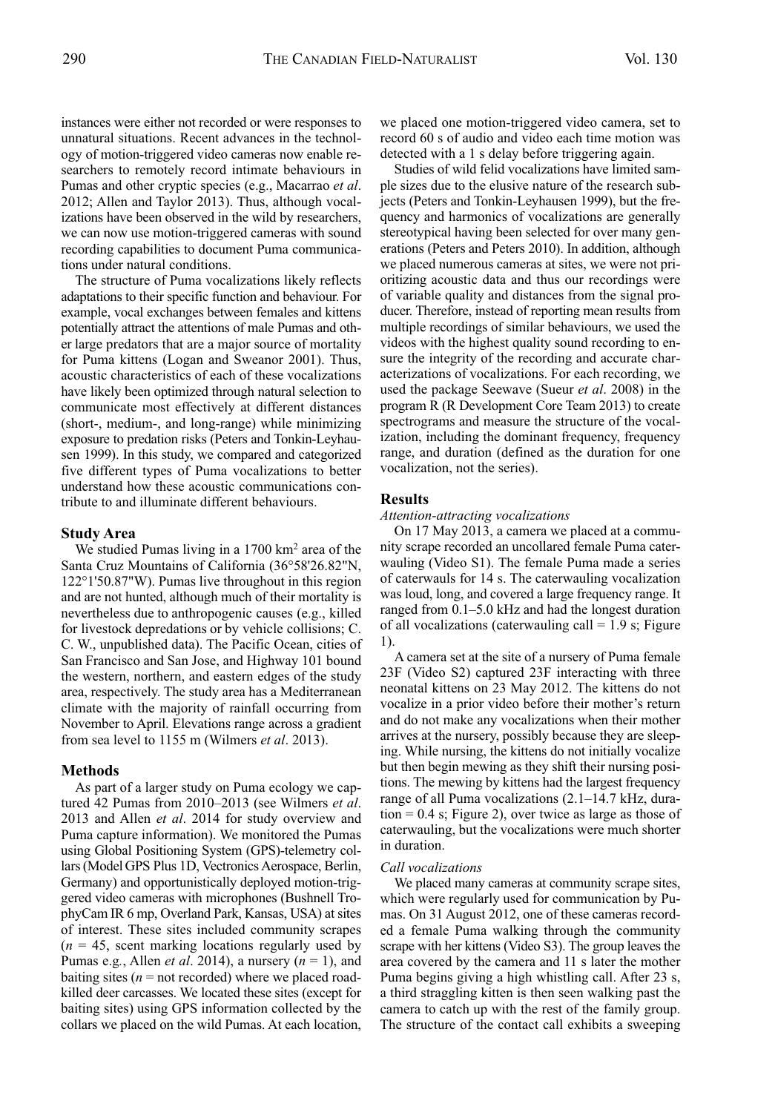instances were either not recorded or were responses to unnatural situations. Recent advances in the technology of motion-triggered video cameras now enable researchers to remotely record intimate behaviours in Pumas and other cryptic species (e.g., Macarrao *et al*. 2012; Allen and Taylor 2013). Thus, although vocalizations have been observed in the wild by researchers, we can now use motion-triggered cameras with sound recording capabilities to document Puma communica-

tions under natural conditions. The structure of Puma vocalizations likely reflects adaptations to their specific function and behaviour. For example, vocal exchanges between females and kittens potentially attract the attentions of male Pumas and other large predators that are a major source of mortality for Puma kittens (Logan and Sweanor 2001). Thus, acoustic characteristics of each of these vocalizations have likely been optimized through natural selection to communicate most effectively at different distances (short-, medium-, and long-range) while minimizing exposure to predation risks (Peters and Tonkin-Leyhausen 1999). In this study, we compared and categorized five different types of Puma vocalizations to better understand how these acoustic communications contribute to and illuminate different behaviours.

## **Study Area**

We studied Pumas living in a 1700 km<sup>2</sup> area of the Santa Cruz Mountains of California (36°58'26.82"N, 122°1'50.87"W). Pumas live throughout in this region and are not hunted, although much of their mortality is nevertheless due to anthropogenic causes (e.g., killed for livestock depredations or by vehicle collisions; C. C. W., unpublished data). The Pacific Ocean, cities of San Francisco and San Jose, and Highway 101 bound the western, northern, and eastern edges of the study area, respectively. The study area has a Mediterranean climate with the majority of rainfall occurring from November to April. Elevations range across a gradient from sea level to 1155 m (Wilmers *et al*. 2013).

#### **Methods**

As part of a larger study on Puma ecology we captured 42 Pumas from 2010–2013 (see Wilmers *et al*. 2013 and Allen *et al*. 2014 for study overview and Puma capture information). We monitored the Pumas using Global Positioning System (GPS)-telemetry collars(Model GPS Plus 1D, Vectronics Aerospace, Berlin, Germany) and opportunistically deployed motion-triggered video cameras with microphones (Bushnell TrophyCam IR 6 mp, Overland Park, Kansas, USA) at sites of interest. These sites included community scrapes  $(n = 45,$  scent marking locations regularly used by Pumas e.g*.*, Allen *et al*. 2014), a nursery (*n* = 1), and baiting sites  $(n = not recorded)$  where we placed roadkilled deer carcasses. We located these sites (except for baiting sites) using GPS information collected by the collars we placed on the wild Pumas. At each location, we placed one motion-triggered video camera, set to record 60 s of audio and video each time motion was detected with a 1 s delay before triggering again.

Studies of wild felid vocalizations have limited sample sizes due to the elusive nature of the research subjects (Peters and Tonkin-Leyhausen 1999), but the frequency and harmonics of vocalizations are generally stereotypical having been selected for over many generations (Peters and Peters 2010). In addition, although we placed numerous cameras at sites, we were not prioritizing acoustic data and thus our recordings were of variable quality and distances from the signal producer. Therefore, instead of reporting mean results from multiple recordings of similar behaviours, we used the videos with the highest quality sound recording to ensure the integrity of the recording and accurate characterizations of vocalizations. For each recording, we used the package Seewave (Sueur *et al*. 2008) in the program R (R Development Core Team 2013) to create spectrograms and measure the structure of the vocalization, including the dominant frequency, frequency range, and duration (defined as the duration for one vocalization, not the series).

## **Results**

#### *Attention-attracting vocalizations*

On 17 May 2013, a camera we placed at a community scrape recorded an uncollared female Puma caterwauling (Video S1). The female Puma made a series of caterwauls for 14 s. The caterwauling vocalization was loud, long, and covered a large frequency range. It ranged from 0.1–5.0 kHz and had the longest duration of all vocalizations (caterwauling call  $= 1.9$  s; Figure 1).

A camera set at the site of a nursery of Puma female 23F (Video S2) captured 23F interacting with three neonatal kittens on 23 May 2012. The kittens do not vocalize in a prior video before their mother's return and do not make any vocalizations when their mother arrives at the nursery, possibly because they are sleeping. While nursing, the kittens do not initially vocalize but then begin mewing as they shift their nursing positions. The mewing by kittens had the largest frequency range of all Puma vocalizations (2.1–14.7 kHz, dura $tion = 0.4$  s; Figure 2), over twice as large as those of caterwauling, but the vocalizations were much shorter in duration.

## *Call vocalizations*

We placed many cameras at community scrape sites, which were regularly used for communication by Pumas. On 31 August 2012, one of these cameras recorded a female Puma walking through the community scrape with her kittens (Video S3). The group leaves the area covered by the camera and 11 s later the mother Puma begins giving a high whistling call. After 23 s, a third straggling kitten is then seen walking past the camera to catch up with the rest of the family group. The structure of the contact call exhibits a sweeping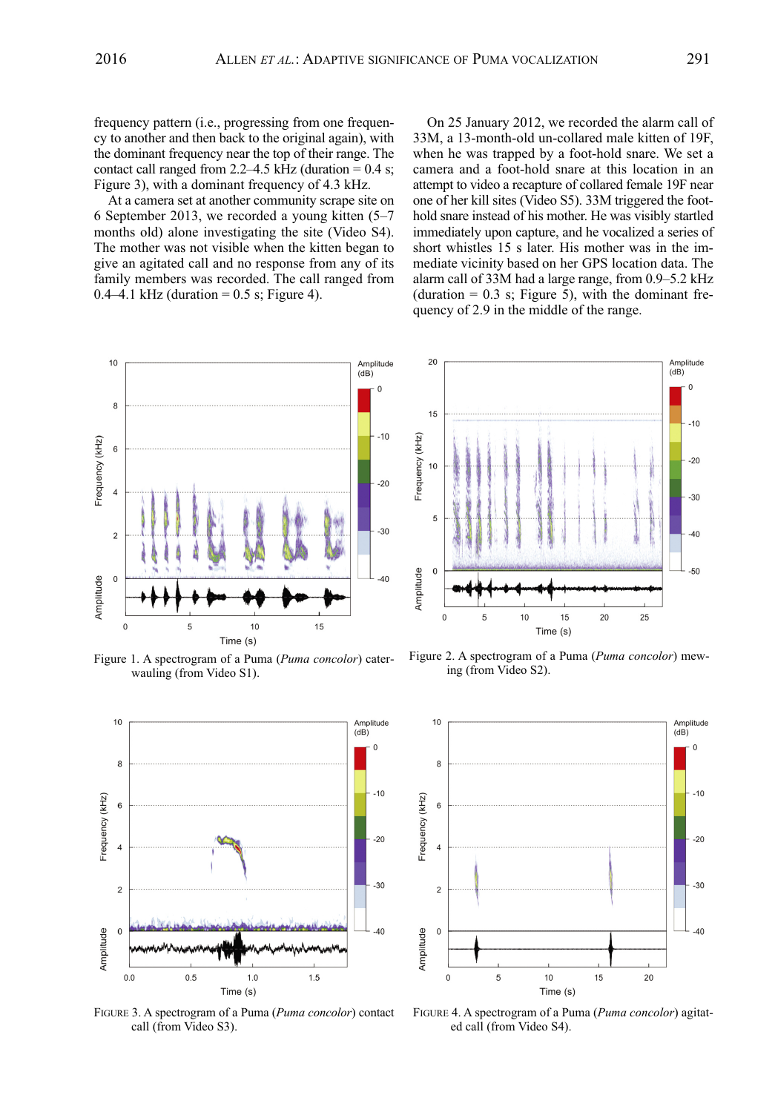frequency pattern (i.e., progressing from one frequency to another and then back to the original again), with the dominant frequency near the top of their range. The contact call ranged from 2.2–4.5 kHz (duration =  $0.4$  s; Figure 3), with a dominant frequency of 4.3 kHz.

At a camera set at another community scrape site on 6 September 2013, we recorded a young kitten (5–7 months old) alone investigating the site (Video S4). The mother was not visible when the kitten began to give an agitated call and no response from any of its family members was recorded. The call ranged from 0.4–4.1 kHz (duration =  $0.5$  s; Figure 4).

On 25 January 2012, we recorded the alarm call of 33M, a 13-month-old un-collared male kitten of 19F, when he was trapped by a foot-hold snare. We set a camera and a foot-hold snare at this location in an attempt to video a recapture of collared female 19F near one of her kill sites (Video S5). 33M triggered the foothold snare instead of his mother. He was visibly startled immediately upon capture, and he vocalized a series of short whistles 15 s later. His mother was in the immediate vicinity based on her GPS location data. The alarm call of 33M had a large range, from 0.9–5.2 kHz (duration  $= 0.3$  s; Figure 5), with the dominant frequency of 2.9 in the middle of the range.



Figure 1. A spectrogram of a Puma (*Puma concolor*) caterwauling (from Video S1).



FIGURE 3. A spectrogram of a Puma (*Puma concolor*) contact call (from Video S3).



Figure 2. A spectrogram of a Puma (*Puma concolor*) mewing (from Video S2).



FIGURE 4. A spectrogram of a Puma (*Puma concolor*) agitated call (from Video S4).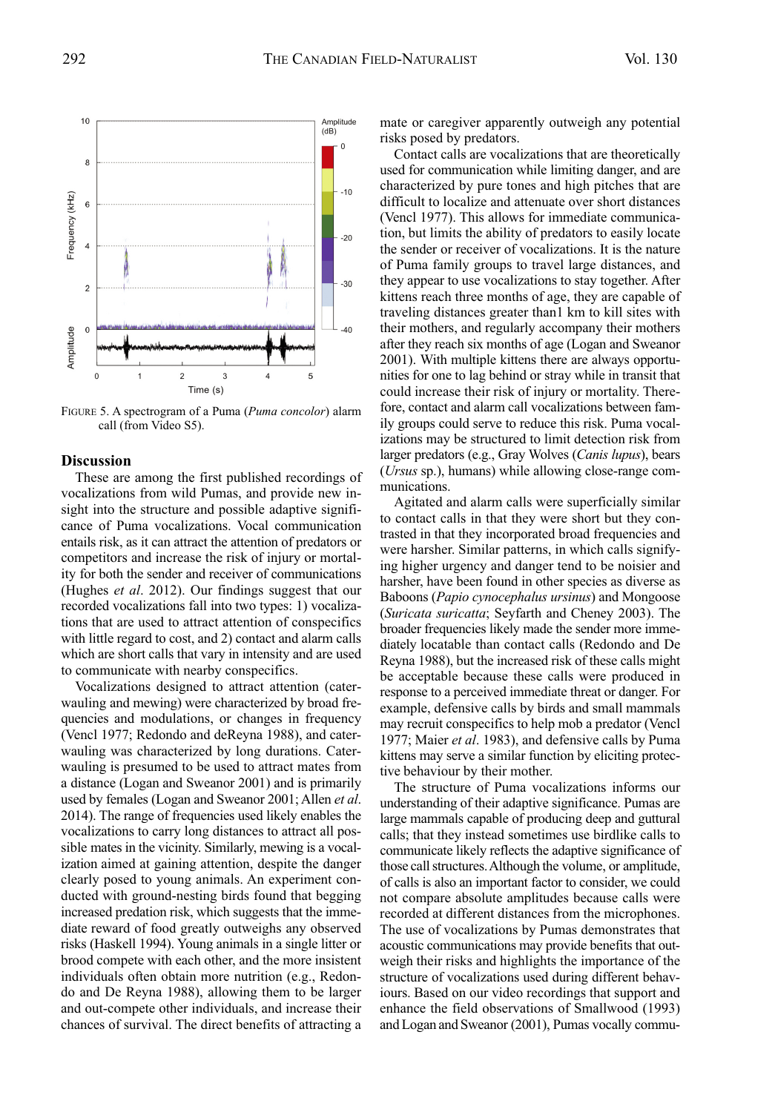

FIGURE 5. A spectrogram of a Puma (*Puma concolor*) alarm call (from Video S5).

# **Discussion**

These are among the first published recordings of vocalizations from wild Pumas, and provide new insight into the structure and possible adaptive significance of Puma vocalizations. Vocal communication entails risk, as it can attract the attention of predators or competitors and increase the risk of injury or mortality for both the sender and receiver of communications (Hughes *et al*. 2012). Our findings suggest that our recorded vocalizations fall into two types: 1) vocalizations that are used to attract attention of conspecifics with little regard to cost, and 2) contact and alarm calls which are short calls that vary in intensity and are used to communicate with nearby conspecifics.

Vocalizations designed to attract attention (caterwauling and mewing) were characterized by broad frequencies and modulations, or changes in frequency (Vencl 1977; Redondo and deReyna 1988), and caterwauling was characterized by long durations. Caterwauling is presumed to be used to attract mates from a distance (Logan and Sweanor 2001) and is primarily used by females (Logan and Sweanor 2001; Allen *et al*. 2014). The range of frequencies used likely enables the vocalizations to carry long distances to attract all possible mates in the vicinity. Similarly, mewing is a vocalization aimed at gaining attention, despite the danger clearly posed to young animals. An experiment conducted with ground-nesting birds found that begging increased predation risk, which suggests that the immediate reward of food greatly outweighs any observed risks (Haskell 1994). Young animals in a single litter or brood compete with each other, and the more insistent individuals often obtain more nutrition (e.g., Redondo and De Reyna 1988), allowing them to be larger and out-compete other individuals, and increase their chances of survival. The direct benefits of attracting a mate or caregiver apparently outweigh any potential risks posed by predators.

Contact calls are vocalizations that are theoretically used for communication while limiting danger, and are characterized by pure tones and high pitches that are difficult to localize and attenuate over short distances (Vencl 1977). This allows for immediate communication, but limits the ability of predators to easily locate the sender or receiver of vocalizations. It is the nature of Puma family groups to travel large distances, and they appear to use vocalizations to stay together. After kittens reach three months of age, they are capable of traveling distances greater than1 km to kill sites with their mothers, and regularly accompany their mothers after they reach six months of age (Logan and Sweanor 2001). With multiple kittens there are always opportunities for one to lag behind or stray while in transit that could increase their risk of injury or mortality. Therefore, contact and alarm call vocalizations between family groups could serve to reduce this risk. Puma vocalizations may be structured to limit detection risk from larger predators (e.g., Gray Wolves (*Canis lupus*), bears (*Ursus* sp.), humans) while allowing close-range communications.

Agitated and alarm calls were superficially similar to contact calls in that they were short but they contrasted in that they incorporated broad frequencies and were harsher. Similar patterns, in which calls signifying higher urgency and danger tend to be noisier and harsher, have been found in other species as diverse as Baboons (*Papio cynocephalus ursinus*) and Mongoose (*Suricata suricatta*; Seyfarth and Cheney 2003). The broader frequencies likely made the sender more immediately locatable than contact calls (Redondo and De Reyna 1988), but the increased risk of these calls might be acceptable because these calls were produced in response to a perceived immediate threat or danger. For example, defensive calls by birds and small mammals may recruit conspecifics to help mob a predator (Vencl 1977; Maier *et al*. 1983), and defensive calls by Puma kittens may serve a similar function by eliciting protective behaviour by their mother.

The structure of Puma vocalizations informs our understanding of their adaptive significance. Pumas are large mammals capable of producing deep and guttural calls; that they instead sometimes use birdlike calls to communicate likely reflects the adaptive significance of those callstructures.Although the volume, or amplitude, of calls is also an important factor to consider, we could not compare absolute amplitudes because calls were recorded at different distances from the microphones. The use of vocalizations by Pumas demonstrates that acoustic communications may provide benefits that outweigh their risks and highlights the importance of the structure of vocalizations used during different behaviours. Based on our video recordings that support and enhance the field observations of Smallwood (1993) andLogan and Sweanor (2001), Pumas vocally commu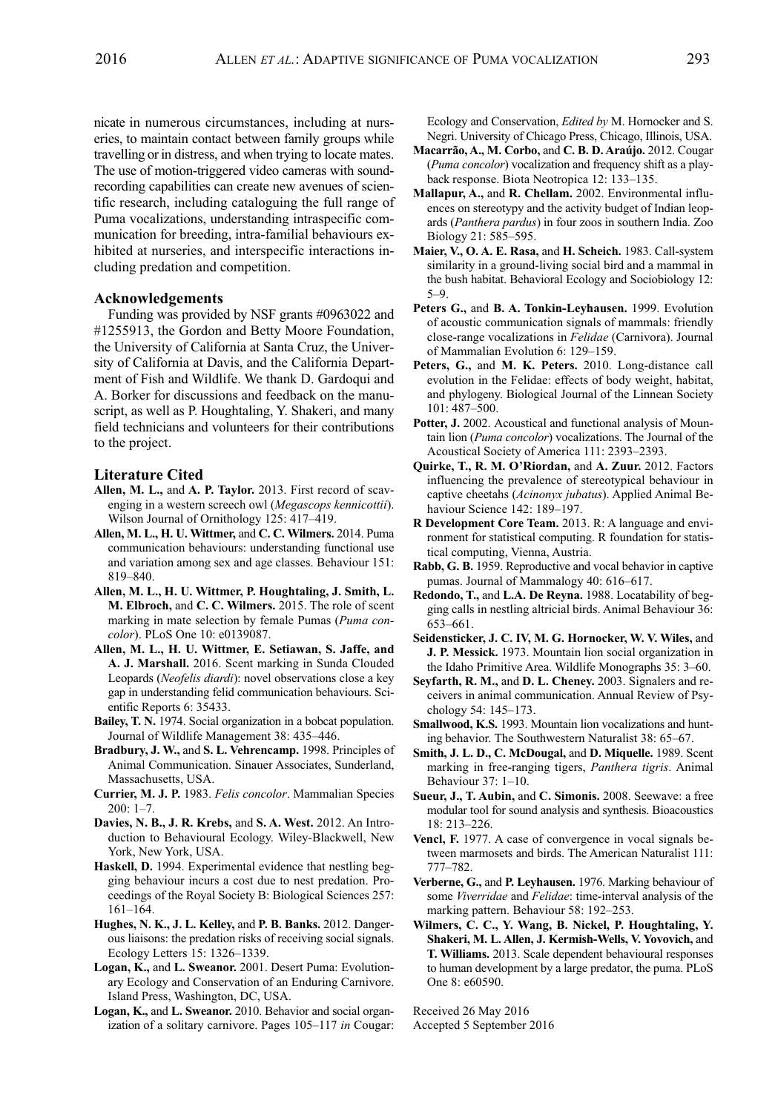nicate in numerous circumstances, including at nurseries, to maintain contact between family groups while travelling or in distress, and when trying to locate mates. The use of motion-triggered video cameras with soundrecording capabilities can create new avenues of scientific research, including cataloguing the full range of Puma vocalizations, understanding intraspecific communication for breeding, intra-familial behaviours exhibited at nurseries, and interspecific interactions including predation and competition.

#### **Acknowledgements**

Funding was provided by NSF grants #0963022 and #1255913, the Gordon and Betty Moore Foundation, the University of California at Santa Cruz, the University of California at Davis, and the California Department of Fish and Wildlife. We thank D. Gardoqui and A. Borker for discussions and feedback on the manuscript, as well as P. Houghtaling, Y. Shakeri, and many field technicians and volunteers for their contributions to the project.

## **Literature Cited**

- **Allen, M. L.,** and **A. P. Taylor.** 2013. First record of scavenging in a western screech owl (*Megascops kennicottii*). Wilson Journal of Ornithology 125: 417–419.
- **Allen, M. L., H. U. Wittmer,** and **C. C. Wilmers.** 2014. Puma communication behaviours: understanding functional use and variation among sex and age classes. Behaviour 151: 819–840.
- **Allen, M. L., H. U. Wittmer, P. Houghtaling, J. Smith, L. M. Elbroch,** and **C. C. Wilmers.** 2015. The role of scent marking in mate selection by female Pumas (*Puma concolor*). PLoS One 10: e0139087.
- **Allen, M. L., H. U. Wittmer, E. Setiawan, S. Jaffe, and A. J. Marshall.** 2016. Scent marking in Sunda Clouded Leopards (*Neofelis diardi*): novel observations close a key gap in understanding felid communication behaviours. Scientific Reports 6: 35433.
- **Bailey, T. N.** 1974. Social organization in a bobcat population. Journal of Wildlife Management 38: 435–446.
- **Bradbury, J. W.,** and **S. L. Vehrencamp.** 1998. Principles of Animal Communication. Sinauer Associates, Sunderland, Massachusetts, USA.
- **Currier, M. J. P.** 1983. *Felis concolor*. Mammalian Species 200: 1–7.
- **Davies, N. B., J. R. Krebs,** and **S. A. West.** 2012. An Introduction to Behavioural Ecology. Wiley-Blackwell, New York, New York, USA.
- **Haskell, D.** 1994. Experimental evidence that nestling begging behaviour incurs a cost due to nest predation. Proceedings of the Royal Society B: Biological Sciences 257: 161–164.
- **Hughes, N. K., J. L. Kelley,** and **P. B. Banks.** 2012. Dangerous liaisons: the predation risks of receiving social signals. Ecology Letters 15: 1326–1339.
- **Logan, K.,** and **L. Sweanor.** 2001. Desert Puma: Evolutionary Ecology and Conservation of an Enduring Carnivore. Island Press, Washington, DC, USA.
- **Logan, K.,** and **L. Sweanor.** 2010. Behavior and social organization of a solitary carnivore. Pages 105–117 *in* Cougar:

Ecology and Conservation, *Edited by* M. Hornocker and S. Negri. University of Chicago Press, Chicago, Illinois, USA.

- **Macarrão, A., M. Corbo,** and **C. B. D. Araújo.** 2012. Cougar (*Puma concolor*) vocalization and frequency shift as a playback response. Biota Neotropica 12: 133–135.
- **Mallapur, A.,** and **R. Chellam.** 2002. Environmental influences on stereotypy and the activity budget of Indian leopards (*Panthera pardus*) in four zoos in southern India. Zoo Biology 21: 585–595.
- **Maier, V., O. A. E. Rasa,** and **H. Scheich.** 1983. Call-system similarity in a ground-living social bird and a mammal in the bush habitat. Behavioral Ecology and Sociobiology 12: 5–9.
- **Peters G.,** and **B. A. Tonkin-Leyhausen.** 1999. Evolution of acoustic communication signals of mammals: friendly close-range vocalizations in *Felidae* (Carnivora). Journal of Mammalian Evolution 6: 129–159.
- **Peters, G.,** and **M. K. Peters.** 2010. Long-distance call evolution in the Felidae: effects of body weight, habitat, and phylogeny. Biological Journal of the Linnean Society 101: 487–500.
- **Potter, J.** 2002. Acoustical and functional analysis of Mountain lion (*Puma concolor*) vocalizations. The Journal of the Acoustical Society of America 111: 2393–2393.
- **Quirke, T., R. M. O'Riordan,** and **A. Zuur.** 2012. Factors influencing the prevalence of stereotypical behaviour in captive cheetahs (*Acinonyx jubatus*). Applied Animal Behaviour Science 142: 189–197.
- **R Development Core Team.** 2013. R: A language and environment for statistical computing. R foundation for statistical computing, Vienna, Austria.
- **Rabb, G. B.** 1959. Reproductive and vocal behavior in captive pumas. Journal of Mammalogy 40: 616–617.
- **Redondo, T.,** and **L.A. De Reyna.** 1988. Locatability of begging calls in nestling altricial birds. Animal Behaviour 36: 653–661.
- **Seidensticker, J. C. IV, M. G. Hornocker, W. V. Wiles,** and **J. P. Messick.** 1973. Mountain lion social organization in the Idaho Primitive Area. Wildlife Monographs 35: 3–60.
- **Seyfarth, R. M.,** and **D. L. Cheney.** 2003. Signalers and receivers in animal communication. Annual Review of Psychology 54: 145–173.
- **Smallwood, K.S.** 1993. Mountain lion vocalizations and hunting behavior. The Southwestern Naturalist 38: 65–67.
- **Smith, J. L. D., C. McDougal,** and **D. Miquelle.** 1989. Scent marking in free-ranging tigers, *Panthera tigris*. Animal Behaviour 37: 1–10.
- **Sueur, J., T. Aubin,** and **C. Simonis.** 2008. Seewave: a free modular tool for sound analysis and synthesis. Bioacoustics 18: 213–226.
- **Vencl, F.** 1977. A case of convergence in vocal signals between marmosets and birds. The American Naturalist 111: 777–782.
- **Verberne, G.,** and **P. Leyhausen.** 1976. Marking behaviour of some *Viverridae* and *Felidae*: time-interval analysis of the marking pattern. Behaviour 58: 192–253.
- **Wilmers, C. C., Y. Wang, B. Nickel, P. Houghtaling, Y. Shakeri, M. L. Allen, J. Kermish-Wells, V. Yovovich,** and **T. Williams.** 2013. Scale dependent behavioural responses to human development by a large predator, the puma. PLoS One 8: e60590.

Received 26 May 2016 Accepted 5 September 2016